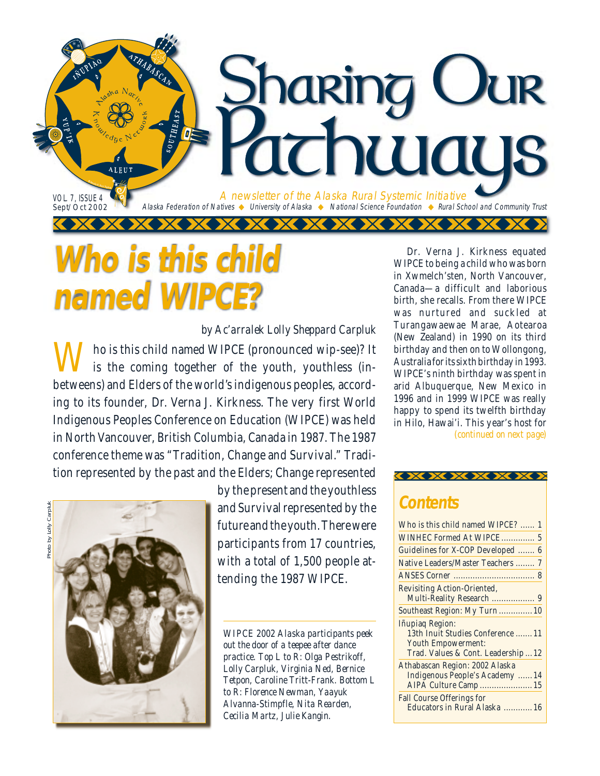

# **Who is this child named WIPCE?**

*by Ac'arralek Lolly Sheppard Carpluk*

 $\overline{N}$  ho is this child named WIPCE (pronounced wip-see)? It is the coming together of the youth, youthless (inbetweens) and Elders of the world's indigenous peoples, according to its founder, Dr. Verna J. Kirkness. The very first World Indigenous Peoples Conference on Education (WIPCE) was held in North Vancouver, British Columbia, Canada in 1987. The 1987 conference theme was "Tradition, Change and Survival." Tradition represented by the past and the Elders; Change represented

Photo by Lolly Carpluk Photo by Lolly Carpluk



bythe present and the youthless and Survival represented by the future and the youth. There were participants from 17 countries, with a total of 1,500 people attending the 1987 WIPCE.

*WIPCE 2002 Alaska participants peek out the door of a teepee after dance practice. Top L to R: Olga Pestrikoff, Lolly Carpluk, Virginia Ned, Bernice Tetpon, Caroline Tritt-Frank. Bottom L to R: Florence Newman, Yaayuk Alvanna-Stimpfle, Nita Rearden, Cecilia Martz, Julie Kangin.*

*(continued on next page)* Dr. Verna J. Kirkness equated WIPCE to being a child who was born in Xwmelch'sten, North Vancouver, Canada—a difficult and laborious birth, she recalls. From there WIPCE was nurtured and suckled at Turangawaewae Marae, Aotearoa (New Zealand) in 1990 on its third birthday and then on to Wollongong, Australia for its sixth birthday in 1993. WIPCE's ninth birthday was spent in arid Albuquerque, New Mexico in 1996 and in 1999 WIPCE was really happy to spend its twelfth birthday in Hilo, Hawai'i. This year's host for

### **Contents**

| Who is this child named WIPCE?  1                                                                                       |
|-------------------------------------------------------------------------------------------------------------------------|
| WINHEC Formed At WIPCE 5                                                                                                |
| Guidelines for X-COP Developed  6                                                                                       |
| Native Leaders/Master Teachers  7                                                                                       |
|                                                                                                                         |
| <b>Revisiting Action-Oriented,</b>                                                                                      |
| Southeast Region: My Turn  10                                                                                           |
| Iñupiag Region:<br>13th Inuit Studies Conference  11<br><b>Youth Empowerment:</b><br>Trad. Values & Cont. Leadership 12 |
| Athabascan Region: 2002 Alaska<br>Indigenous People's Academy  14<br>AIPĀ Culture Camp  15                              |
| <b>Fall Course Offerings for</b><br>Educators in Rural Alaska  16                                                       |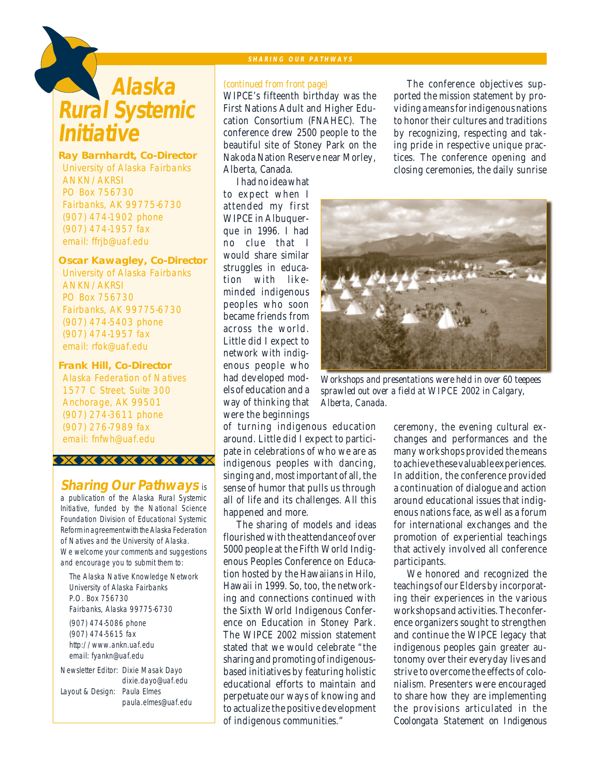

**Ray Barnhardt, Co-Director** University of Alaska Fairbanks ANKN/AKRSI PO Box 756730 Fairbanks, AK 99775-6730 (907) 474-1902 phone (907) 474-1957 fax email: ffrjb@uaf.edu

#### **Oscar Kawagley, Co-Director**

University of Alaska Fairbanks ANKN/AKRSI PO Box 756730 Fairbanks, AK 99775-6730 (907) 474-5403 phone (907) 474-1957 fax email: rfok@uaf.edu

#### **Frank Hill, Co-Director**

Alaska Federation of Natives 1577 C Street, Suite 300 Anchorage, AK 99501 (907) 274-3611 phone (907) 276-7989 fax email: fnfwh@uaf.edu

#### **XXXXXX** X

#### **Sharing Our Pathways** is

a publication of the Alaska Rural Systemic Initiative, funded by the National Science Foundation Division of Educational Systemic Reform in agreement with the Alaska Federation of Natives and the University of Alaska. We welcome your comments and suggestions and encourage you to submit them to:

The Alaska Native Knowledge Network University of Alaska Fairbanks P.O. Box 756730 Fairbanks, Alaska 99775-6730 (907) 474-5086 phone (907) 474-5615 fax http://www.ankn.uaf.edu email: fyankn@uaf.edu Newsletter Editor: Dixie Masak Dayo

dixie.dayo@uaf.edu Layout & Design: Paula Elmes paula.elmes@uaf.edu

#### *(continued from front page)*

WIPCE's fifteenth birthday was the First Nations Adult and Higher Education Consortium (FNAHEC). The conference drew 2500 people to the beautiful site of Stoney Park on the Nakoda Nation Reserve near Morley, Alberta, Canada.

I had no idea what to expect when I attended my first WIPCE in Albuquerque in 1996. I had no clue that I would share similar struggles in education with likeminded indigenous peoples who soon became friends from across the world. Little did I expect to network with indigenous people who had developed models of education and a way of thinking that were the beginnings

of turning indigenous education around. Little did I expect to participate in celebrations of who we are as indigenous peoples with dancing, singing and, most important of all, the sense of humor that pulls us through all of life and its challenges. All this happened and more.

The sharing of models and ideas flourished with the attendance of over 5000 people at the Fifth World Indigenous Peoples Conference on Education hosted by the Hawaiians in Hilo, Hawaii in 1999. So, too, the networking and connections continued with the Sixth World Indigenous Conference on Education in Stoney Park. The WIPCE 2002 mission statement stated that we would celebrate "the sharing and promoting of indigenousbased initiatives by featuring holistic educational efforts to maintain and perpetuate our ways of knowing and to actualize the positive development of indigenous communities."

The conference objectives supported the mission statement by providing a means for indigenous nations to honor their cultures and traditions by recognizing, respecting and taking pride in respective unique practices. The conference opening and closing ceremonies, the daily sunrise



*Workshops and presentations were held in over 60 teepees sprawled out over a field at WIPCE 2002 in Calgary, Alberta, Canada.*

ceremony, the evening cultural exchanges and performances and the many workshops provided the means to achieve these valuable experiences. In addition, the conference provided a continuation of dialogue and action around educational issues that indigenous nations face, as well as a forum for international exchanges and the promotion of experiential teachings that actively involved all conference participants.

We honored and recognized the teachings of our Elders by incorporating their experiences in the various workshops and activities. The conference organizers sought to strengthen and continue the WIPCE legacy that indigenous peoples gain greater autonomy over their everyday lives and strive to overcome the effects of colonialism. Presenters were encouraged to share how they are implementing the provisions articulated in the *Coolongata Statement on Indigenous*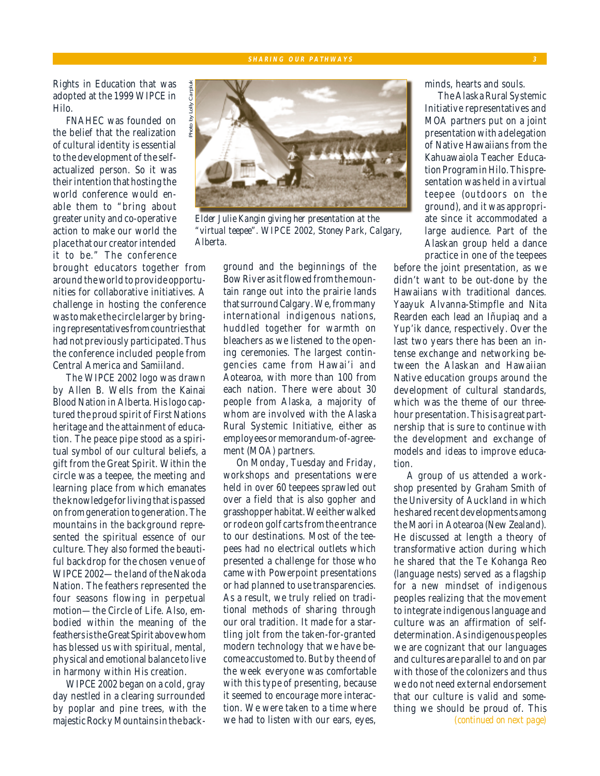*Rights in Education* that was adopted at the 1999 WIPCE in Hilo.

FNAHEC was founded on the belief that the realization of cultural identity is essential to the development of the selfactualized person. So it was their intention that hosting the world conference would enable them to "bring about greater unity and co-operative action to make our world the place that our creator intended it to be." The conference

brought educators together from around the world to provide opportunities for collaborative initiatives. A challenge in hosting the conference was to make the circle larger by bringing representatives from countries that had not previously participated. Thus the conference included people from Central America and Samiiland.

The WIPCE 2002 logo was drawn by Allen B. Wells from the Kainai Blood Nation in Alberta. His logo captured the proud spirit of First Nations heritage and the attainment of education. The peace pipe stood as a spiritual symbol of our cultural beliefs, a gift from the Great Spirit. Within the circle was a teepee, the meeting and learning place from which emanates the knowledge for living that is passed on from generation to generation. The mountains in the background represented the spiritual essence of our culture. They also formed the beautiful backdrop for the chosen venue of WIPCE 2002—the land of the Nakoda Nation. The feathers represented the four seasons flowing in perpetual motion—the Circle of Life. Also, embodied within the meaning of the feathers is the Great Spirit above whom has blessed us with spiritual, mental, physical and emotional balance to live in harmony within His creation.

WIPCE 2002 began on a cold, gray day nestled in a clearing surrounded by poplar and pine trees, with the majestic Rocky Mountains in the back-



*Elder Julie Kangin giving her presentation at the "virtual teepee". WIPCE 2002, Stoney Park, Calgary, Alberta.*

ground and the beginnings of the Bow River as it flowed from the mountain range out into the prairie lands that surround Calgary. We, from many international indigenous nations, huddled together for warmth on bleachers as we listened to the opening ceremonies. The largest contingencies came from Hawai'i and Aotearoa, with more than 100 from each nation. There were about 30 people from Alaska, a majority of whom are involved with the Alaska Rural Systemic Initiative, either as employees or memorandum-of-agreement (MOA) partners.

On Monday, Tuesday and Friday, workshops and presentations were held in over 60 teepees sprawled out over a field that is also gopher and grasshopper habitat. We either walked or rode on golf carts from the entrance to our destinations. Most of the teepees had no electrical outlets which presented a challenge for those who came with Powerpoint presentations or had planned to use transparencies. As a result, we truly relied on traditional methods of sharing through our oral tradition. It made for a startling jolt from the taken-for-granted modern technology that we have become accustomed to. But by the end of the week everyone was comfortable with this type of presenting, because it seemed to encourage more interaction. We were taken to a time where we had to listen with our ears, eyes,

minds, hearts and souls.

The Alaska Rural Systemic Initiative representatives and MOA partners put on a joint presentation with a delegation of Native Hawaiians from the Kahuawaiola Teacher Education Program in Hilo. This presentation was held in a virtual teepee (outdoors on the ground), and it was appropriate since it accommodated a large audience. Part of the Alaskan group held a dance practice in one of the teepees

before the joint presentation, as we didn't want to be out-done by the Hawaiians with traditional dances. Yaayuk Alvanna-Stimpfle and Nita Rearden each lead an Iñupiaq and a Yup'ik dance, respectively. Over the last two years there has been an intense exchange and networking between the Alaskan and Hawaiian Native education groups around the development of cultural standards, which was the theme of our threehour presentation. This is a great partnership that is sure to continue with the development and exchange of models and ideas to improve education.

A group of us attended a workshop presented by Graham Smith of the University of Auckland in which he shared recent developments among the Maori in Aotearoa (New Zealand). He discussed at length a theory of transformative action during which he shared that the Te Kohanga Reo (language nests) served as a flagship for a new mindset of indigenous peoples realizing that the movement to integrate indigenous language and culture was an affirmation of selfdetermination. As indigenous peoples we are cognizant that our languages and cultures are parallel to and on par with those of the colonizers and thus we do not need external endorsement that our culture is valid and something we should be proud of. This *(continued on next page)*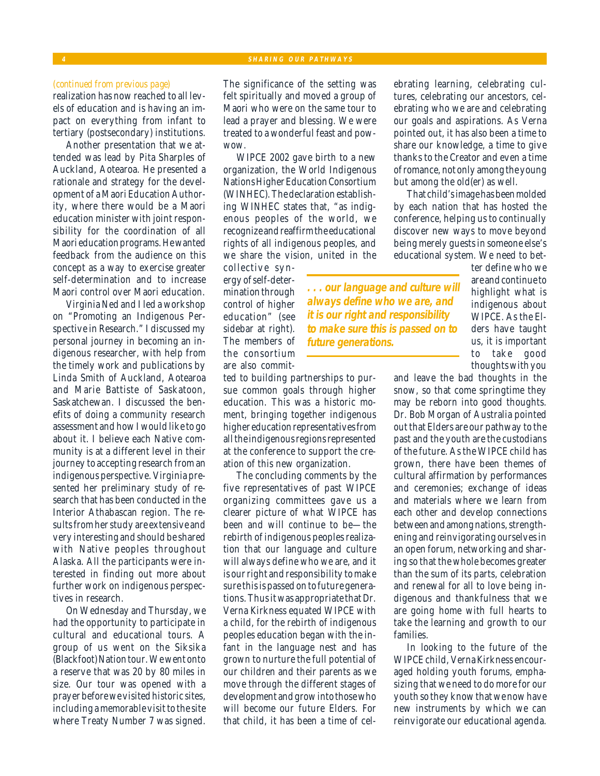#### *(continued from previous page)*

realization has now reached to all levels of education and is having an impact on everything from infant to tertiary (postsecondary) institutions.

Another presentation that we attended was lead by Pita Sharples of Auckland, Aotearoa. He presented a rationale and strategy for the development of a Maori Education Authority, where there would be a Maori education minister with joint responsibility for the coordination of all Maori education programs. He wanted feedback from the audience on this concept as a way to exercise greater self-determination and to increase Maori control over Maori education.

Virginia Ned and I led a workshop on "Promoting an Indigenous Perspective in Research." I discussed my personal journey in becoming an indigenous researcher, with help from the timely work and publications by Linda Smith of Auckland, Aotearoa and Marie Battiste of Saskatoon, Saskatchewan. I discussed the benefits of doing a community research assessment and how I would like to go about it. I believe each Native community is at a different level in their journey to accepting research from an indigenous perspective. Virginia presented her preliminary study of research that has been conducted in the Interior Athabascan region. The results from her study are extensive and very interesting and should be shared with Native peoples throughout Alaska. All the participants were interested in finding out more about further work on indigenous perspectives in research.

On Wednesday and Thursday, we had the opportunity to participate in cultural and educational tours. A group of us went on the Siksika (Blackfoot) Nation tour. We went onto a reserve that was 20 by 80 miles in size. Our tour was opened with a prayer before we visited historic sites, including a memorable visit to the site where Treaty Number 7 was signed.

The significance of the setting was felt spiritually and moved a group of Maori who were on the same tour to lead a prayer and blessing. We were treated to a wonderful feast and powwow.

WIPCE 2002 gave birth to a new organization, the World Indigenous Nations Higher Education Consortium (WINHEC). The declaration establishing WINHEC states that, "as indigenous peoples of the world, we recognize and reaffirm the educational rights of all indigenous peoples, and we share the vision, united in the

collective synergy of self-determination through control of higher education" (see sidebar at right). The members of the consortium are also commit-

**. . . our language and culture will always define who we are, and it is our right and responsibility to make sure this is passed on to future generations.**

ebrating learning, celebrating cultures, celebrating our ancestors, celebrating who we are and celebrating our goals and aspirations. As Verna pointed out, it has also been a time to share our knowledge, a time to give thanks to the Creator and even a time of romance, not only among the young but among the old(er) as well.

That child's image has been molded by each nation that has hosted the conference, helping us to continually discover new ways to move beyond being merely guests in someone else's educational system. We need to bet-

> ter define who we are and continue to highlight what is indigenous about WIPCE. As the Elders have taught us, it is important to take good thoughts with you

ted to building partnerships to pursue common goals through higher education. This was a historic moment, bringing together indigenous higher education representatives from all the indigenous regions represented at the conference to support the creation of this new organization.

The concluding comments by the five representatives of past WIPCE organizing committees gave us a clearer picture of what WIPCE has been and will continue to be—the rebirth of indigenous peoples realization that our language and culture will always define who we are, and it is our right and responsibility to make sure this is passed on to future generations. Thus it was appropriate that Dr. Verna Kirkness equated WIPCE with a child, for the rebirth of indigenous peoples education began with the infant in the language nest and has grown to nurture the full potential of our children and their parents as we move through the different stages of development and grow into those who will become our future Elders. For that child, it has been a time of celand leave the bad thoughts in the snow, so that come springtime they may be reborn into good thoughts. Dr. Bob Morgan of Australia pointed out that Elders are our pathway to the past and the youth are the custodians of the future. As the WIPCE child has grown, there have been themes of cultural affirmation by performances and ceremonies; exchange of ideas and materials where we learn from each other and develop connections between and among nations, strengthening and reinvigorating ourselves in an open forum, networking and sharing so that the whole becomes greater than the sum of its parts, celebration and renewal for all to love being indigenous and thankfulness that we are going home with full hearts to take the learning and growth to our families.

In looking to the future of the WIPCE child, Verna Kirkness encouraged holding youth forums, emphasizing that we need to do more for our youth so they know that we now have new instruments by which we can reinvigorate our educational agenda.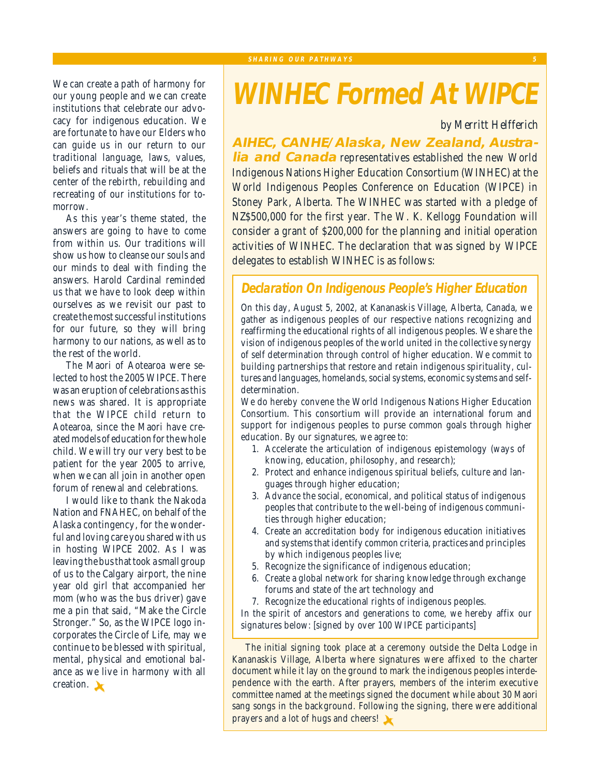<span id="page-4-0"></span>We can create a path of harmony for our young people and we can create institutions that celebrate our advocacy for indigenous education. We are fortunate to have our Elders who can guide us in our return to our traditional language, laws, values, beliefs and rituals that will be at the center of the rebirth, rebuilding and recreating of our institutions for tomorrow.

As this year's theme stated, the answers are going to have to come from within us. Our traditions will show us how to cleanse our souls and our minds to deal with finding the answers. Harold Cardinal reminded us that we have to look deep within ourselves as we revisit our past to create the most successful institutions for our future, so they will bring harmony to our nations, as well as to the rest of the world.

The Maori of Aotearoa were selected to host the 2005 WIPCE. There was an eruption of celebrations as this news was shared. It is appropriate that the WIPCE child return to Aotearoa, since the Maori have created models of education for the whole child. We will try our very best to be patient for the year 2005 to arrive, when we can all join in another open forum of renewal and celebrations.

I would like to thank the Nakoda Nation and FNAHEC, on behalf of the Alaska contingency, for the wonderful and loving care you shared with us in hosting WIPCE 2002. As I was leaving the bus that took a small group of us to the Calgary airport, the nine year old girl that accompanied her mom (who was the bus driver) gave me a pin that said, "Make the Circle Stronger." So, as the WIPCE logo incorporates the Circle of Life, may we continue to be blessed with spiritual, mental, physical and emotional balance as we live in harmony with all creation.

### **WINHEC Formed At WIPCE**

### *by Merritt Helfferich*

**AIHEC, CANHE/Alaska, New Zealand, Australia and Canada** representatives established the new World Indigenous Nations Higher Education Consortium (WINHEC) at the World Indigenous Peoples Conference on Education (WIPCE) in Stoney Park, Alberta. The WINHEC was started with a pledge of NZ\$500,000 for the first year. The W. K. Kellogg Foundation will consider a grant of \$200,000 for the planning and initial operation activities of WINHEC. The declaration that was signed by WIPCE delegates to establish WINHEC is as follows:

### **Declaration On Indigenous People's Higher Education**

On this day, August 5, 2002, at Kananaskis Village, Alberta, Canada, we gather as indigenous peoples of our respective nations recognizing and reaffirming the educational rights of all indigenous peoples. We share the vision of indigenous peoples of the world united in the collective synergy of self determination through control of higher education. We commit to building partnerships that restore and retain indigenous spirituality, cultures and languages, homelands, social systems, economic systems and selfdetermination.

We do hereby convene the World Indigenous Nations Higher Education Consortium. This consortium will provide an international forum and support for indigenous peoples to purse common goals through higher education. By our signatures, we agree to:

- 1. Accelerate the articulation of indigenous epistemology (ways of knowing, education, philosophy, and research);
- 2. Protect and enhance indigenous spiritual beliefs, culture and languages through higher education;
- 3. Advance the social, economical, and political status of indigenous peoples that contribute to the well-being of indigenous communities through higher education;
- 4. Create an accreditation body for indigenous education initiatives and systems that identify common criteria, practices and principles by which indigenous peoples live;
- 5. Recognize the significance of indigenous education;
- 6. Create a global network for sharing knowledge through exchange forums and state of the art technology and
- 7. Recognize the educational rights of indigenous peoples.

In the spirit of ancestors and generations to come, we hereby affix our signatures below: [signed by over 100 WIPCE participants]

The initial signing took place at a ceremony outside the Delta Lodge in Kananaskis Village, Alberta where signatures were affixed to the charter document while it lay on the ground to mark the indigenous peoples interdependence with the earth. After prayers, members of the interim executive committee named at the meetings signed the document while about 30 Maori sang songs in the background. Following the signing, there were additional prayers and a lot of hugs and cheers!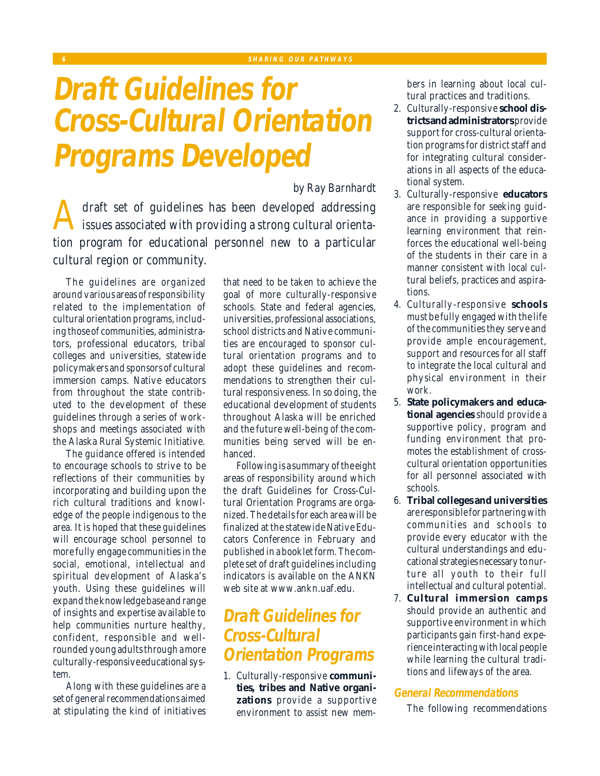## <span id="page-5-0"></span>**Draft Guidelines for Cross-Cultural Orientation Programs Developed**

*by Ray Barnhardt*

draft set of guidelines has been developed addressing<br>issues associated with providing a strong cultural orientaissues associated with providing a strong cultural orientation program for educational personnel new to a particular cultural region or community.

The guidelines are organized around various areas of responsibility related to the implementation of cultural orientation programs, including those of communities, administrators, professional educators, tribal colleges and universities, statewide policymakers and sponsors of cultural immersion camps. Native educators from throughout the state contributed to the development of these guidelines through a series of workshops and meetings associated with the Alaska Rural Systemic Initiative.

The guidance offered is intended to encourage schools to strive to be reflections of their communities by incorporating and building upon the rich cultural traditions and knowledge of the people indigenous to the area. It is hoped that these guidelines will encourage school personnel to more fully engage communities in the social, emotional, intellectual and spiritual development of Alaska's youth. Using these guidelines will expand the knowledge base and range of insights and expertise available to help communities nurture healthy, confident, responsible and wellrounded young adults through a more culturally-responsive educational system.

Along with these guidelines are a set of general recommendations aimed at stipulating the kind of initiatives

that need to be taken to achieve the goal of more culturally-responsive schools. State and federal agencies, universities, professional associations, school districts and Native communities are encouraged to sponsor cultural orientation programs and to adopt these guidelines and recommendations to strengthen their cultural responsiveness. In so doing, the educational development of students throughout Alaska will be enriched and the future well-being of the communities being served will be enhanced.

Following is a summary of the eight areas of responsibility around which the draft Guidelines for Cross-Cultural Orientation Programs are organized. The details for each area will be finalized at the statewide Native Educators Conference in February and published in a booklet form. The complete set of draft guidelines including indicators is available on the ANKN web site at www.ankn.uaf.edu.

### **Draft Guidelines for Cross-Cultural Orientation Programs**

1. Culturally-responsive **communities, tribes and Native organizations** provide a supportive environment to assist new members in learning about local cultural practices and traditions.

- 2. Culturally-responsive **school districts and administrators**provide support for cross-cultural orientation programs for district staff and for integrating cultural considerations in all aspects of the educational system.
- 3. Culturally-responsive **educators** are responsible for seeking guidance in providing a supportive learning environment that reinforces the educational well-being of the students in their care in a manner consistent with local cultural beliefs, practices and aspirations.
- 4. Culturally-responsive **schools** must be fully engaged with the life of the communities they serve and provide ample encouragement, support and resources for all staff to integrate the local cultural and physical environment in their work.
- 5. **State policymakers and educational agencies** should provide a supportive policy, program and funding environment that promotes the establishment of crosscultural orientation opportunities for all personnel associated with schools.
- 6. **Tribal colleges and universities** are responsible for partnering with communities and schools to provide every educator with the cultural understandings and educational strategies necessary to nurture all youth to their full intellectual and cultural potential.
- 7. **Cultural immersion camps** should provide an authentic and supportive environment in which participants gain first-hand experience interacting with local people while learning the cultural traditions and lifeways of the area.

#### **General Recommendations**

The following recommendations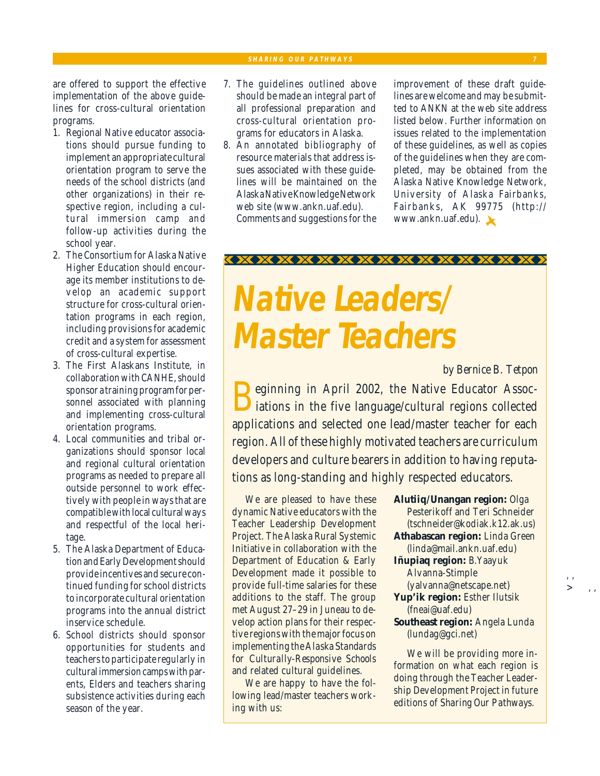<span id="page-6-0"></span>are offered to support the effective implementation of the above guidelines for cross-cultural orientation programs.

- 1. Regional Native educator associations should pursue funding to implement an appropriate cultural orientation program to serve the needs of the school districts (and other organizations) in their respective region, including a cultural immersion camp and follow-up activities during the school year.
- 2. The Consortium for Alaska Native Higher Education should encourage its member institutions to develop an academic support structure for cross-cultural orientation programs in each region, including provisions for academic credit and a system for assessment of cross-cultural expertise.
- 3. The First Alaskans Institute, in collaboration with CANHE, should sponsor a training program for personnel associated with planning and implementing cross-cultural orientation programs.
- 4. Local communities and tribal organizations should sponsor local and regional cultural orientation programs as needed to prepare all outside personnel to work effectively with people in ways that are compatible with local cultural ways and respectful of the local heritage.
- 5. The Alaska Department of Education and Early Development should provide incentives and secure continued funding for school districts to incorporate cultural orientation programs into the annual district inservice schedule.
- 6. School districts should sponsor opportunities for students and teachers to participate regularly in cultural immersion camps with parents, Elders and teachers sharing subsistence activities during each season of the year.
- 7. The guidelines outlined above should be made an integral part of all professional preparation and cross-cultural orientation programs for educators in Alaska.
- 8. An annotated bibliography of resource materials that address issues associated with these guidelines will be maintained on the Alaska Native Knowledge Network web site (www.ankn.uaf.edu). Comments and suggestions for the

improvement of these draft guidelines are welcome and may be submitted to ANKN at the web site address listed below. Further information on issues related to the implementation of these guidelines, as well as copies of the guidelines when they are completed, may be obtained from the Alaska Native Knowledge Network, University of Alaska Fairbanks, Fairbanks, AK 99775 (http:// www.ankn.uaf.edu).

**EXXXXXXXXXXXX XXXXXX** 

## **Native Leaders/ Master Teachers**

#### *by Bernice B. Tetpon*

Beginning in April 2002, the Native Educator Associations in the five language/cultural regions collected iations in the five language/cultural regions collected applications and selected one lead/master teacher for each region. All of these highly motivated teachers are curriculum developers and culture bearers in addition to having reputations as long-standing and highly respected educators.

We are pleased to have these dynamic Native educators with the Teacher Leadership Development Project. The Alaska Rural Systemic Initiative in collaboration with the Department of Education & Early Development made it possible to provide full-time salaries for these additions to the staff. The group met August 27–29 in Juneau to develop action plans for their respective regions with the major focus on implementing the *Alaska Standards for Culturally-Responsive Schools* and related cultural guidelines.

We are happy to have the following lead/master teachers working with us:

**Alutiiq/Unangan region:** Olga Pesterikoff and Teri Schneider (tschneider@kodiak.k12.ak.us) **Athabascan region:** Linda Green (linda@mail.ankn.uaf.edu) **Iñupiaq region:** B.Yaayuk Alvanna-Stimple (yalvanna@netscape.net) **Yup'ik region:** Esther Ilutsik (fneai@uaf.edu) **Southeast region:** Angela Lunda (lundag@gci.net)

, ,  $>$  , ,

We will be providing more information on what each region is doing through the Teacher Leadership Development Project in future editions of *Sharing Our Pathways*.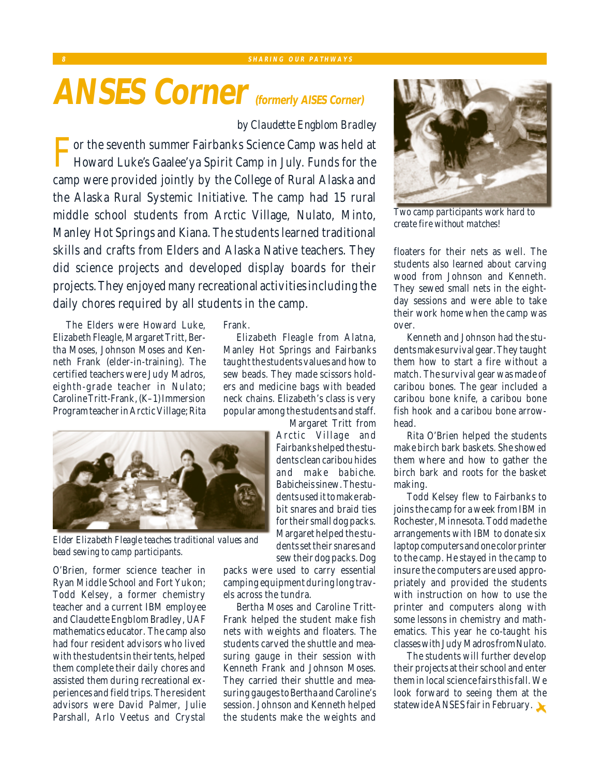## <span id="page-7-0"></span>**ANSES Corner** (formerly AISES Corner)

### *by Claudette Engblom Bradley*

For the seventh summer Fairbanks Science Camp was held at Howard Luke's Gaalee'ya Spirit Camp in July. Funds for the camp were provided jointly by the College of Rural Alaska and the Alaska Rural Systemic Initiative. The camp had 15 rural middle school students from Arctic Village, Nulato, Minto, Manley Hot Springs and Kiana. The students learned traditional skills and crafts from Elders and Alaska Native teachers. They did science projects and developed display boards for their projects. They enjoyed many recreational activities including the daily chores required by all students in the camp.

The Elders were Howard Luke, Elizabeth Fleagle, Margaret Tritt, Bertha Moses, Johnson Moses and Kenneth Frank (elder-in-training). The certified teachers were Judy Madros, eighth-grade teacher in Nulato; Caroline Tritt-Frank, (K–1) Immersion Program teacher in Arctic Village; Rita Frank.

Elizabeth Fleagle from Alatna, Manley Hot Springs and Fairbanks taught the students values and how to sew beads. They made scissors holders and medicine bags with beaded neck chains. Elizabeth's class is very popular among the students and staff.



packs were used to carry essential camping equipment during long travels across the tundra.

Bertha Moses and Caroline Tritt-Frank helped the student make fish nets with weights and floaters. The students carved the shuttle and measuring gauge in their session with Kenneth Frank and Johnson Moses. They carried their shuttle and measuring gauges to Bertha and Caroline's session. Johnson and Kenneth helped the students make the weights and



*Two camp participants work hard to create fire without matches!*

floaters for their nets as well. The students also learned about carving wood from Johnson and Kenneth. They sewed small nets in the eightday sessions and were able to take their work home when the camp was over.

Kenneth and Johnson had the students make survival gear. They taught them how to start a fire without a match. The survival gear was made of caribou bones. The gear included a caribou bone knife, a caribou bone fish hook and a caribou bone arrowhead.

Rita O'Brien helped the students make birch bark baskets. She showed them where and how to gather the birch bark and roots for the basket making.

Todd Kelsey flew to Fairbanks to joins the camp for a week from IBM in Rochester, Minnesota. Todd made the arrangements with IBM to donate six laptop computers and one color printer to the camp. He stayed in the camp to insure the computers are used appropriately and provided the students with instruction on how to use the printer and computers along with some lessons in chemistry and mathematics. This year he co-taught his classes with Judy Madros from Nulato.

The students will further develop their projects at their school and enter them in local science fairs this fall. We look forward to seeing them at the statewide ANSES fair in February.

*Elder Elizabeth Fleagle teaches traditional values and bead sewing to camp participants.*

O'Brien, former science teacher in Ryan Middle School and Fort Yukon; Todd Kelsey, a former chemistry teacher and a current IBM employee and Claudette Engblom Bradley, UAF mathematics educator. The camp also had four resident advisors who lived with the students in their tents, helped them complete their daily chores and assisted them during recreational experiences and field trips. The resident advisors were David Palmer, Julie Parshall, Arlo Veetus and Crystal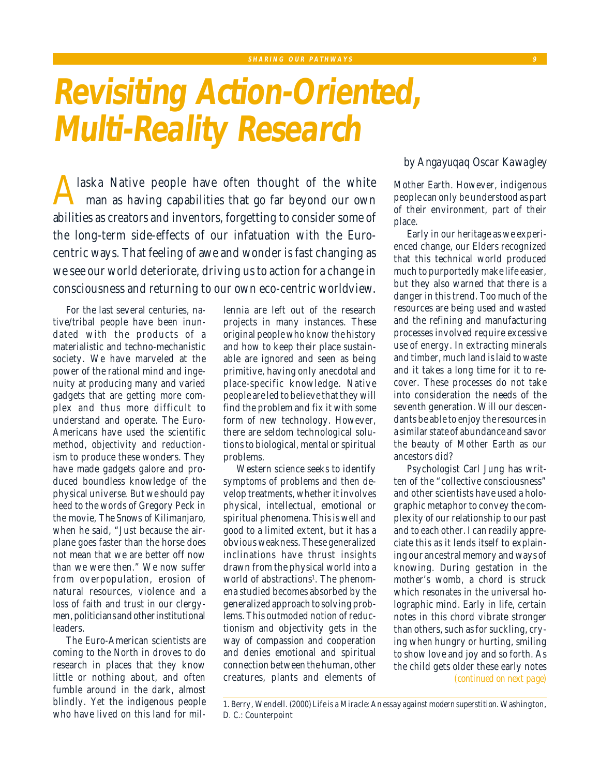## <span id="page-8-0"></span>**Revisiting Action-Oriented, Multi-Reality Research**

Alaska Native people have often thought of the white<br>man as having capabilities that go far beyond our own<br>chilities of weather and insurance formation the consideration man as having capabilities that go far beyond our own abilities as creators and inventors, forgetting to consider some of the long-term side-effects of our infatuation with the Eurocentric ways. That feeling of awe and wonder is fast changing as we see our world deteriorate, driving us to action for a change in consciousness and returning to our own eco-centric worldview.

For the last several centuries, native/tribal people have been inundated with the products of a materialistic and techno-mechanistic society. We have marveled at the power of the rational mind and ingenuity at producing many and varied gadgets that are getting more complex and thus more difficult to understand and operate. The Euro-Americans have used the scientific method, objectivity and reductionism to produce these wonders. They have made gadgets galore and produced boundless knowledge of the physical universe. But we should pay heed to the words of Gregory Peck in the movie, *The Snows of Kilimanjaro*, when he said, "Just because the airplane goes faster than the horse does not mean that we are better off now than we were then." We now suffer from overpopulation, erosion of natural resources, violence and a loss of faith and trust in our clergymen, politicians and other institutional leaders.

The Euro-American scientists are coming to the North in droves to do research in places that they know little or nothing about, and often fumble around in the dark, almost blindly. Yet the indigenous people who have lived on this land for mil-

lennia are left out of the research projects in many instances. These original people who know the history and how to keep their place sustainable are ignored and seen as being primitive, having only anecdotal and place-specific knowledge. Native people are led to believe that they will find the problem and fix it with some form of new technology. However, there are seldom technological solutions to biological, mental or spiritual problems.

Western science seeks to identify symptoms of problems and then develop treatments, whether it involves physical, intellectual, emotional or spiritual phenomena. This is well and good to a limited extent, but it has a obvious weakness. These generalized inclinations have thrust insights drawn from the physical world into a world of abstractions<sup>1</sup>. The phenomena studied becomes absorbed by the generalized approach to solving problems. This outmoded notion of reductionism and objectivity gets in the way of compassion and cooperation and denies emotional and spiritual connection between the human, other creatures, plants and elements of

#### *by Angayuqaq Oscar Kawagley*

Mother Earth. However, indigenous people can only be understood as part of their environment, part of their place.

Early in our heritage as we experienced change, our Elders recognized that this technical world produced much to purportedly make life easier, but they also warned that there is a danger in this trend. Too much of the resources are being used and wasted and the refining and manufacturing processes involved require excessive use of energy. In extracting minerals and timber, much land is laid to waste and it takes a long time for it to recover. These processes do not take into consideration the needs of the seventh generation. Will our descendants be able to enjoy the resources in a similar state of abundance and savor the beauty of Mother Earth as our ancestors did?

Psychologist Carl Jung has written of the "collective consciousness" and other scientists have used a holographic metaphor to convey the complexity of our relationship to our past and to each other. I can readily appreciate this as it lends itself to explaining our ancestral memory and ways of knowing. During gestation in the mother's womb, a chord is struck which resonates in the universal holographic mind. Early in life, certain notes in this chord vibrate stronger than others, such as for suckling, crying when hungry or hurting, smiling to show love and joy and so forth. As the child gets older these early notes *(continued on next page)*

<sup>1.</sup> Berry, Wendell. (2000) *Life is a Miracle: An essay against modern superstition*. Washington, D. C.: Counterpoint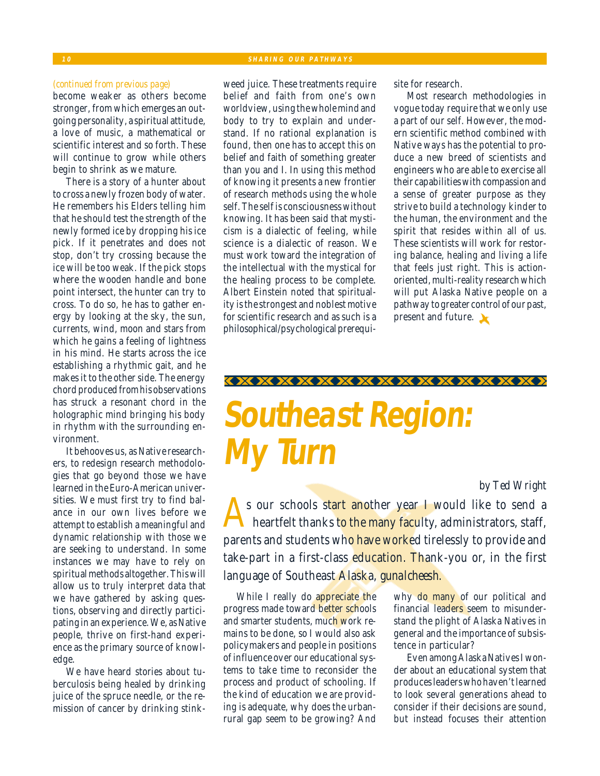#### <span id="page-9-0"></span>*(continued from previous page)*

become weaker as others become stronger, from which emerges an outgoing personality, a spiritual attitude, a love of music, a mathematical or scientific interest and so forth. These will continue to grow while others begin to shrink as we mature.

There is a story of a hunter about to cross a newly frozen body of water. He remembers his Elders telling him that he should test the strength of the newly formed ice by dropping his ice pick. If it penetrates and does not stop, don't try crossing because the ice will be too weak. If the pick stops where the wooden handle and bone point intersect, the hunter can try to cross. To do so, he has to gather energy by looking at the sky, the sun, currents, wind, moon and stars from which he gains a feeling of lightness in his mind. He starts across the ice establishing a rhythmic gait, and he makes it to the other side. The energy chord produced from his observations has struck a resonant chord in the holographic mind bringing his body in rhythm with the surrounding environment.

It behooves us, as Native researchers, to redesign research methodologies that go beyond those we have learned in the Euro-American universities. We must first try to find balance in our own lives before we attempt to establish a meaningful and dynamic relationship with those we are seeking to understand. In some instances we may have to rely on spiritual methods altogether. This will allow us to truly interpret data that we have gathered by asking questions, observing and directly participating in an experience. We, as Native people, thrive on first-hand experience as the primary source of knowledge.

We have heard stories about tuberculosis being healed by drinking juice of the spruce needle, or the remission of cancer by drinking stink-

weed juice. These treatments require belief and faith from one's own worldview, using the whole mind and body to try to explain and understand. If no rational explanation is found, then one has to accept this on belief and faith of something greater than you and I. In using this method of knowing it presents a new frontier of research methods using the whole self. The self is consciousness without knowing. It has been said that mysticism is a dialectic of feeling, while science is a dialectic of reason. We must work toward the integration of the intellectual with the mystical for the healing process to be complete. Albert Einstein noted that spirituality is the strongest and noblest motive for scientific research and as such is a philosophical/psychological prerequisite for research.

Most research methodologies in vogue today require that we only use a part of our self. However, the modern scientific method combined with Native ways has the potential to produce a new breed of scientists and engineers who are able to exercise all their capabilities with compassion and a sense of greater purpose as they strive to build a technology kinder to the human, the environment and the spirit that resides within all of us. These scientists will work for restoring balance, healing and living a life that feels just right. This is actionoriented, multi-reality research which will put Alaska Native people on a pathway to greater control of our past, present and future.

# **Southeast Region: My Turn**

#### *by Ted Wright*

As our schools start another year I would like to send a<br>heartfelt thanks to the many faculty, administrators, staff, heartfelt thanks <mark>to the many facu</mark>lty, administrators, staff, parents and students who have worked tirelessly to provide and take-part in a first-class education. Thank-you or, in the first language of Southeast Alaska, *gunalcheesh*.

While I really do appreciate the progress made toward better schools and smarter students, much work remains to be done, so I would also ask policymakers and people in positions of influence over our educational systems to take time to reconsider the process and product of schooling. If the kind of education we are providing is adequate, why does the urbanrural gap seem to be growing? And

why do many of our political and financial leaders seem to misunderstand the plight of Alaska Natives in general and the importance of subsistence in particular?

Even among Alaska Natives I wonder about an educational system that produces leaders who haven't learned to look several generations ahead to consider if their decisions are sound, but instead focuses their attention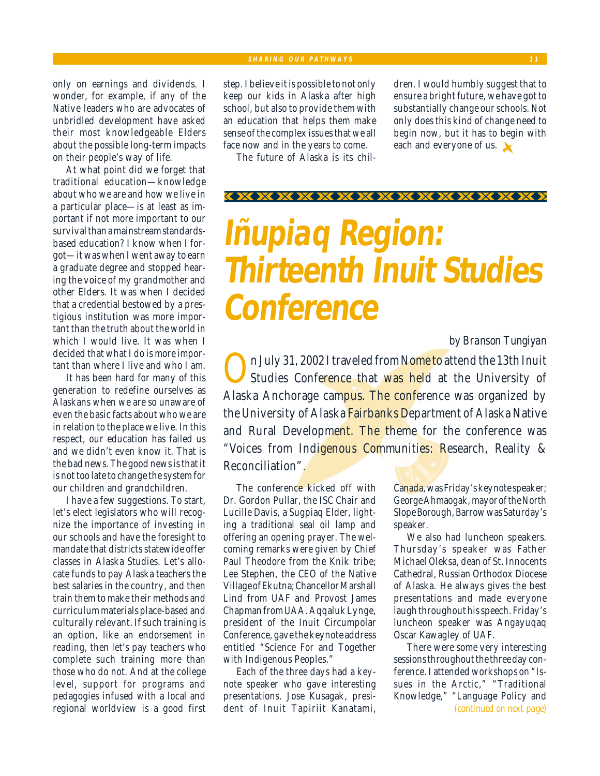<span id="page-10-0"></span>only on earnings and dividends. I wonder, for example, if any of the Native leaders who are advocates of unbridled development have asked their most knowledgeable Elders about the possible long-term impacts on their people's way of life.

At what point did we forget that traditional education—knowledge about who we are and how we live in a particular place—is at least as important if not more important to our survival than a mainstream standardsbased education? I know when I forgot—it was when I went away to earn a graduate degree and stopped hearing the voice of my grandmother and other Elders. It was when I decided that a credential bestowed by a prestigious institution was more important than the truth about the world in which I would live. It was when I decided that what I do is more important than where I live and who I am.

It has been hard for many of this generation to redefine ourselves as Alaskans when we are so unaware of even the basic facts about who we are in relation to the place we live. In this respect, our education has failed us and we didn't even know it. That is the bad news. The good news is that it is not too late to change the system for our children and grandchildren.

I have a few suggestions. To start, let's elect legislators who will recognize the importance of investing in our schools and have the foresight to mandate that districts statewide offer classes in Alaska Studies. Let's allocate funds to pay Alaska teachers the best salaries in the country, and then train them to make their methods and curriculum materials place-based and culturally relevant. If such training is an option, like an endorsement in reading, then let's pay teachers who complete such training more than those who do not. And at the college level, support for programs and pedagogies infused with a local and regional worldview is a good first

step. I believe it is possible to not only keep our kids in Alaska after high school, but also to provide them with an education that helps them make sense of the complex issues that we all face now and in the years to come.

The future of Alaska is its chil-

dren. I would humbly suggest that to ensure a bright future, we have got to substantially change our schools. Not only does this kind of change need to begin now, but it has to begin with each and everyone of us.

<u>KXXXXXXXXXXXXXXXXXXXXX</u>

# **Iñupiaq Region: Thirteenth Inuit Studies Conference**

### *by Branson Tungiyan*

n July 31, 2002 I traveled from Nome to attend the 13th Inuit Studies Conference that was held at the University of Alaska Anchorage campus. The conference was organized by the University of Alaska Fairbanks Department of Alaska Native and Rural Development. The theme for the conference was "Voices from Indigenous Communities: Research, Reality & Reconciliation".

The conference kicked off with Dr. Gordon Pullar, the ISC Chair and Lucille Davis, a Sugpiaq Elder, lighting a traditional seal oil lamp and offering an opening prayer. The welcoming remarks were given by Chief Paul Theodore from the Knik tribe; Lee Stephen, the CEO of the Native Village of Ekutna; Chancellor Marshall Lind from UAF and Provost James Chapman from UAA. Aqqaluk Lynge, president of the Inuit Circumpolar Conference, gave the keynote address entitled "Science For and Together with Indigenous Peoples."

Each of the three days had a keynote speaker who gave interesting presentations. Jose Kusagak, president of Inuit Tapiriit Kanatami,

Canada, was Friday's keynote speaker; George Ahmaogak, mayor of the North Slope Borough, Barrow was Saturday's speaker.

We also had luncheon speakers. Thursday's speaker was Father Michael Oleksa, dean of St. Innocents Cathedral, Russian Orthodox Diocese of Alaska. He always gives the best presentations and made everyone laugh throughout his speech. Friday's luncheon speaker was Angayuqaq Oscar Kawagley of UAF.

There were some very interesting sessions throughout the three day conference. I attended workshops on "Issues in the Arctic," "Traditional Knowledge," "Language Policy and *(continued on next page)*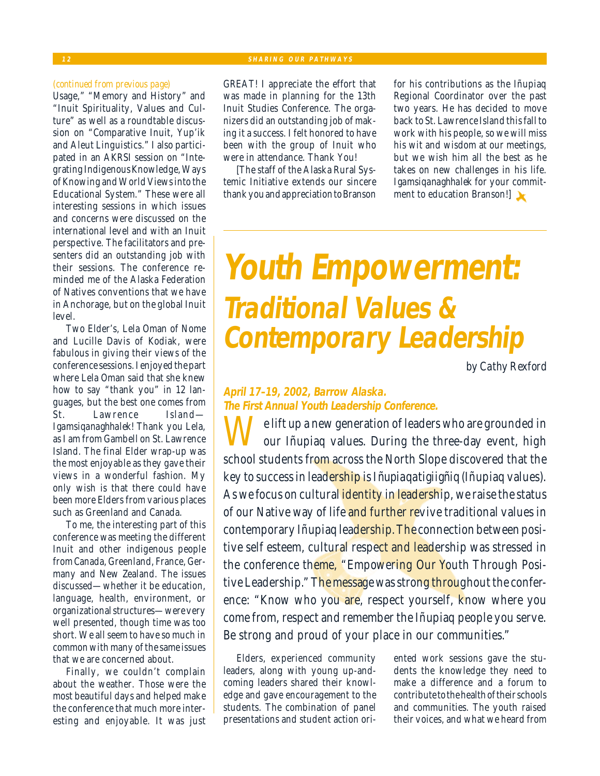#### <span id="page-11-0"></span>*(continued from previous page)*

Usage," "Memory and History" and "Inuit Spirituality, Values and Culture" as well as a roundtable discussion on "Comparative Inuit, Yup'ik and Aleut Linguistics." I also participated in an AKRSI session on "Integrating Indigenous Knowledge, Ways of Knowing and World Views into the Educational System." These were all interesting sessions in which issues and concerns were discussed on the international level and with an Inuit perspective. The facilitators and presenters did an outstanding job with their sessions. The conference reminded me of the Alaska Federation of Natives conventions that we have in Anchorage, but on the global Inuit level.

Two Elder's, Lela Oman of Nome and Lucille Davis of Kodiak, were fabulous in giving their views of the conference sessions. I enjoyed the part where Lela Oman said that she knew how to say "thank you" in 12 languages, but the best one comes from St. Lawrence Island— *Igamsiqanaghhalek!* Thank you Lela, as I am from Gambell on St. Lawrence Island. The final Elder wrap-up was the most enjoyable as they gave their views in a wonderful fashion. My only wish is that there could have been more Elders from various places such as Greenland and Canada.

To me, the interesting part of this conference was meeting the different Inuit and other indigenous people from Canada, Greenland, France, Germany and New Zealand. The issues discussed—whether it be education, language, health, environment, or organizational structures—were very well presented, though time was too short. We all seem to have so much in common with many of the same issues that we are concerned about.

Finally, we couldn't complain about the weather. Those were the most beautiful days and helped make the conference that much more interesting and enjoyable. It was just

GREAT! I appreciate the effort that was made in planning for the 13th Inuit Studies Conference. The organizers did an outstanding job of making it a success. I felt honored to have been with the group of Inuit who were in attendance. Thank You!

[The staff of the Alaska Rural Systemic Initiative extends our sincere thank you and appreciation to Branson for his contributions as the Iñupiaq Regional Coordinator over the past two years. He has decided to move back to St. Lawrence Island this fall to work with his people, so we will miss his wit and wisdom at our meetings, but we wish him all the best as he takes on new challenges in his life. *Igamsiqanaghhalek* for your commitment to education Branson!]

## **Youth Empowerment: Traditional Values & Contemporary Leadership**

*by Cathy Rexford*

### **April 17–19, 2002, Barrow Alaska. The First Annual Youth Leadership Conference.**

 $\overline{M}$  / e lift up a new generation of leaders who are grounded in our Iñupiaq values. During the three-day event, high school students from across the North Slope discovered that the key to success in leadership is *Iñupiaqatigiigñiq* (Iñupiaq values). As we focus on cultural *identity in leadership*, we raise the status of our Native way of life and further revive traditional values in contemporary Iñupiaq leadership. The connection between positive self esteem, cultural respect and leadership was stressed in the conference theme, "Empowering Our Youth Through Positive Leadership." The message was strong throughout the conference: "Know who you are, respect yourself, know where you come from, respect and remember the Iñupiaq people you serve. Be strong and proud of your place in our communities."

Elders, experienced community leaders, along with young up-andcoming leaders shared their knowledge and gave encouragement to the students. The combination of panel presentations and student action oriented work sessions gave the students the knowledge they need to make a difference and a forum to contribute to the health of their schools and communities. The youth raised their voices, and what we heard from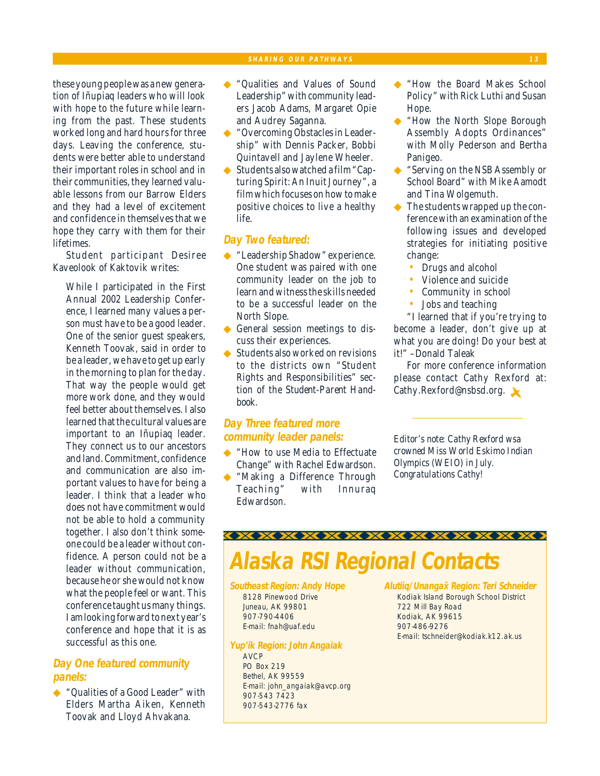these young people was a new generation of Iñupiaq leaders who will look with hope to the future while learning from the past. These students worked long and hard hours for three days. Leaving the conference, students were better able to understand their important roles in school and in their communities, they learned valuable lessons from our Barrow Elders and they had a level of excitement and confidence in themselves that we hope they carry with them for their lifetimes.

Student participant Desiree Kaveolook of Kaktovik writes:

While I participated in the First Annual 2002 Leadership Conference, I learned many values a person must have to be a good leader. One of the senior guest speakers, Kenneth Toovak, said in order to be a leader, we have to get up early in the morning to plan for the day. That way the people would get more work done, and they would feel better about themselves. I also learned that the cultural values are important to an Iñupiaq leader. They connect us to our ancestors and land. Commitment, confidence and communication are also important values to have for being a leader. I think that a leader who does not have commitment would not be able to hold a community together. I also don't think someone could be a leader without confidence. A person could not be a leader without communication, because he or she would not know what the people feel or want. This conference taught us many things. I am looking forward to next year's conference and hope that it is as successful as this one.

#### **Day One featured community panels:**

◆ "Qualities of a Good Leader" with Elders Martha Aiken, Kenneth Toovak and Lloyd Ahvakana.

- ◆ "Qualities and Values of Sound Leadership" with community leaders Jacob Adams, Margaret Opie and Audrey Saganna.
- ◆ "Overcoming Obstacles in Leadership" with Dennis Packer, Bobbi Quintavell and Jaylene Wheeler.
- ◆ Students also watched a film "Capturing Spirit: An Inuit Journey", a film which focuses on how to make positive choices to live a healthy life.

#### **Day Two featured:**

- ◆ "Leadership Shadow" experience. One student was paired with one community leader on the job to learn and witness the skills needed to be a successful leader on the North Slope.
- ◆ General session meetings to discuss their experiences.
- ◆ Students also worked on revisions to the districts own "Student Rights and Responsibilities" section of the *Student-Parent Handbook*.

#### **Day Three featured more community leader panels:**

- ◆ "How to use Media to Effectuate Change" with Rachel Edwardson.
- "Making a Difference Through Teaching" with Innuraq Edwardson.
- ◆ "How the Board Makes School Policy" with Rick Luthi and Susan Hope.
- ◆ "How the North Slope Borough Assembly Adopts Ordinances" with Molly Pederson and Bertha Panigeo.
- ◆ "Serving on the NSB Assembly or School Board" with Mike Aamodt and Tina Wolgemuth.
- ◆ The students wrapped up the conference with an examination of the following issues and developed strategies for initiating positive change:
	- Drugs and alcohol
	- Violence and suicide
	- Community in school
	- Jobs and teaching

"I learned that if you're trying to become a leader, don't give up at what you are doing! Do your best at it!" –Donald Taleak

For more conference information please contact Cathy Rexford at: Cathy.Rexford@nsbsd.org.

*Editor's note: Cathy Rexford wsa crowned Miss World Eskimo Indian Olympics (WEIO) in July. Congratulations Cathy!*



**Southeast Region: Andy Hope** 8128 Pinewood Drive Juneau, AK 99801

907-790-4406 E-mail: fnah@uaf.edu

**Yup'ik Region: John Angaiak AVCP** PO Box 219 Bethel, AK 99559 E-mail: john\_angaiak@avcp.org 907-543 7423 907-543-2776 fax

**Alutiiq/Unangaxˆ Region: Teri Schneider**

Kodiak Island Borough School District 722 Mill Bay Road Kodiak, AK 99615 907-486-9276 E-mail: tschneider@kodiak.k12.ak.us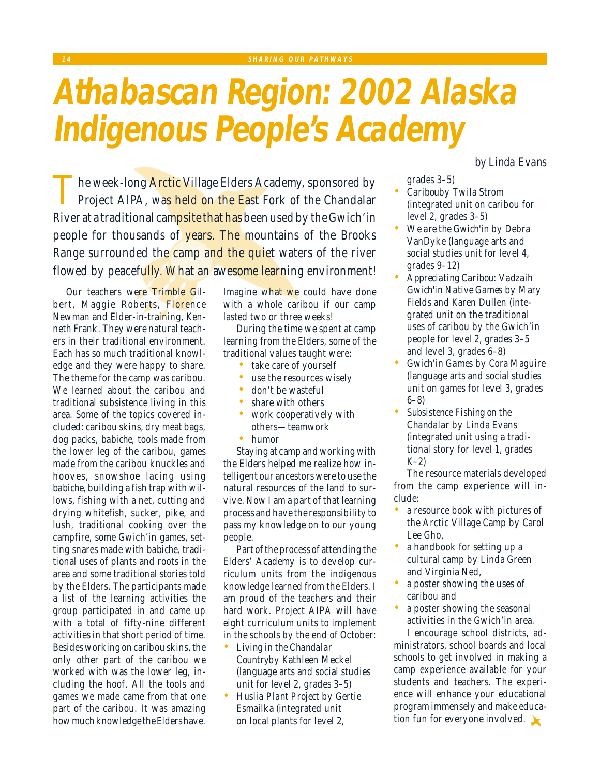## <span id="page-13-0"></span>**Athabascan Region: 2002 Alaska Indigenous People's Academy**

The week-long Arctic Village Elders Academy, sponsored by<br>Project AIPA, was held on the East Fork of the Chandalar Project AIPA, w<mark>as held on the East</mark> Fork of the Chandalar River at a traditional campsite that has been used by the Gwich'in people for thousands of years. The mountains of the Brooks Range surrounded the camp and the quiet waters of the river flowed by peacefully. What an awesome learning environment!

Our teachers were Trimble Gilbert, Maggie Roberts, Florence Newman and Elder-in-training, Kenneth Frank. They were natural teachers in their traditional environment. Each has so much traditional knowledge and they were happy to share. The theme for the camp was caribou. We learned about the caribou and traditional subsistence living in this area. Some of the topics covered included: caribou skins, dry meat bags, dog packs, *babiche*, tools made from the lower leg of the caribou, games made from the caribou knuckles and hooves, snowshoe lacing using *babiche*, building a fish trap with willows, fishing with a net, cutting and drying whitefish, sucker, pike, and lush, traditional cooking over the campfire, some Gwich'in games, setting snares made with *babiche*, traditional uses of plants and roots in the area and some traditional stories told by the Elders. The participants made a list of the learning activities the group participated in and came up with a total of fifty-nine different activities in that short period of time. Besides working on caribou skins, the only other part of the caribou we worked with was the lower leg, including the hoof. All the tools and games we made came from that one part of the caribou. It was amazing how much knowledge the Elders have.

Imagine what we could have done with a whole caribou if our camp lasted two or three weeks!

During the time we spent at camp learning from the Elders, some of the traditional values taught were:

- take care of yourself
- use the resources wisely
- don't be wasteful
- share with others
- work cooperatively with others—teamwork
- humor

Staying at camp and working with the Elders helped me realize how intelligent our ancestors were to use the natural resources of the land to survive. Now I am a part of that learning process and have the responsibility to pass my knowledge on to our young people.

Part of the process of attending the Elders' Academy is to develop curriculum units from the indigenous knowledge learned from the Elders. I am proud of the teachers and their hard work. Project AIPA will have eight curriculum units to implement in the schools by the end of October:

- *Living in the Chandalar Country*by Kathleen Meckel (language arts and social studies unit for level 2, grades 3–5)
- *Huslia Plant Project* by Gertie Esmailka (integrated unit on local plants for level 2,

#### *by Linda Evans*

grades 3–5)

- *Caribou*by Twila Strom (integrated unit on caribou for level 2, grades 3–5)
- *We are the Gwich'in* by Debra VanDyke (language arts and social studies unit for level 4, grades 9–12)
- *Appreciating Caribou: Vadzaih Gwich'in Native Games* by Mary Fields and Karen Dullen (integrated unit on the traditional uses of caribou by the Gwich'in people for level 2, grades 3–5 and level 3, grades 6–8)
- *Gwich'in Games* by Cora Maguire (language arts and social studies unit on games for level 3, grades 6–8)
- *Subsistence Fishing on the Chandalar* by Linda Evans (integrated unit using a traditional story for level 1, grades  $K-2$

The resource materials developed from the camp experience will include:

- a resource book with pictures of the Arctic Village Camp by Carol Lee Gho,
- a handbook for setting up a cultural camp by Linda Green and Virginia Ned,
- a poster showing the uses of caribou and
- a poster showing the seasonal activities in the Gwich'in area.

I encourage school districts, administrators, school boards and local schools to get involved in making a camp experience available for your students and teachers. The experience will enhance your educational program immensely and make education fun for everyone involved.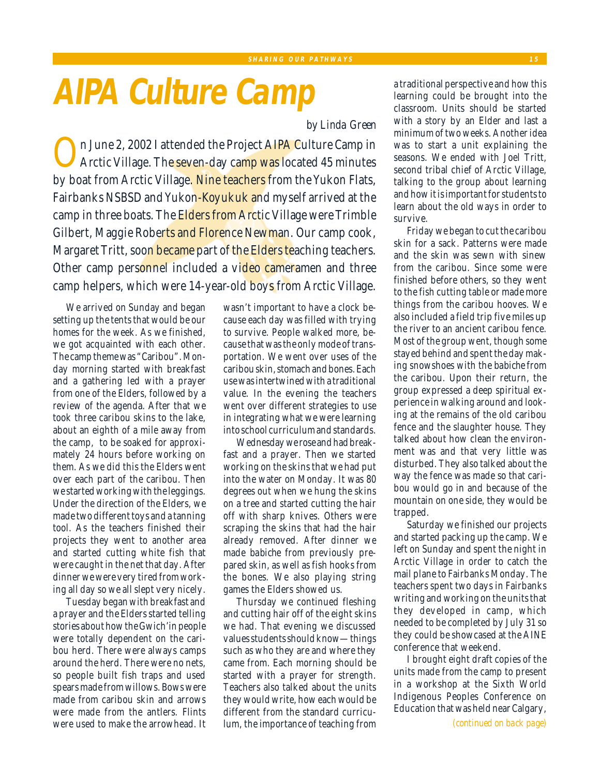## <span id="page-14-0"></span>**AIPA Culture Camp**

*by Linda Green*

n June 2, 2002 I attended the Project AIPA Culture Camp in Arctic Village. The seven-day camp was located 45 minutes by boat from Arctic Village. Nine teachers from the Yukon Flats, Fairbanks NSBSD and Yukon-Koyukuk and myself arrived at the camp in three boats. The Elders from Arctic Village were Trimble Gilbert, Maggie Roberts and Florence Newman. Our camp cook, Margaret Tritt, soon became part of the Elders teaching teachers. Other camp personnel included a video cameramen and three camp helpers, which were 14-year-old boys from Arctic Village.

We arrived on Sunday and began setting up the tents that would be our homes for the week. As we finished, we got acquainted with each other. The camp theme was "Caribou". Monday morning started with breakfast and a gathering led with a prayer from one of the Elders, followed by a review of the agenda. After that we took three caribou skins to the lake, about an eighth of a mile away from the camp, to be soaked for approximately 24 hours before working on them. As we did this the Elders went over each part of the caribou. Then we started working with the leggings. Under the direction of the Elders, we made two different toys and a tanning tool. As the teachers finished their projects they went to another area and started cutting white fish that were caught in the net that day. After dinner we were very tired from working all day so we all slept very nicely.

Tuesday began with breakfast and a prayer and the Elders started telling stories about how the Gwich'in people were totally dependent on the caribou herd. There were always camps around the herd. There were no nets, so people built fish traps and used spears made from willows. Bows were made from caribou skin and arrows were made from the antlers. Flints were used to make the arrowhead. It

wasn't important to have a clock because each day was filled with trying to survive. People walked more, because that was the only mode of transportation. We went over uses of the caribou skin, stomach and bones. Each use was intertwined with a traditional value. In the evening the teachers went over different strategies to use in integrating what we were learning into school curriculum and standards.

Wednesday we rose and had breakfast and a prayer. Then we started working on the skins that we had put into the water on Monday. It was 80 degrees out when we hung the skins on a tree and started cutting the hair off with sharp knives. Others were scraping the skins that had the hair already removed. After dinner we made *babiche* from previously prepared skin, as well as fish hooks from the bones. We also playing string games the Elders showed us.

Thursday we continued fleshing and cutting hair off of the eight skins we had. That evening we discussed values students should know—things such as who they are and where they came from. Each morning should be started with a prayer for strength. Teachers also talked about the units they would write, how each would be different from the standard curriculum, the importance of teaching from

a traditional perspective and how this learning could be brought into the classroom. Units should be started with a story by an Elder and last a minimum of two weeks. Another idea was to start a unit explaining the seasons. We ended with Joel Tritt, second tribal chief of Arctic Village, talking to the group about learning and how it is important for students to learn about the old ways in order to survive.

Friday we began to cut the caribou skin for a sack. Patterns were made and the skin was sewn with sinew from the caribou. Since some were finished before others, so they went to the fish cutting table or made more things from the caribou hooves. We also included a field trip five miles up the river to an ancient caribou fence. Most of the group went, though some stayed behind and spent the day making snowshoes with the *babiche* from the caribou. Upon their return, the group expressed a deep spiritual experience in walking around and looking at the remains of the old caribou fence and the slaughter house. They talked about how clean the environment was and that very little was disturbed. They also talked about the way the fence was made so that caribou would go in and because of the mountain on one side, they would be trapped.

Saturday we finished our projects and started packing up the camp. We left on Sunday and spent the night in Arctic Village in order to catch the mail plane to Fairbanks Monday. The teachers spent two days in Fairbanks writing and working on the units that they developed in camp, which needed to be completed by July 31 so they could be showcased at the AINE conference that weekend.

I brought eight draft copies of the units made from the camp to present in a workshop at the Sixth World Indigenous Peoples Conference on Education that was held near Calgary,